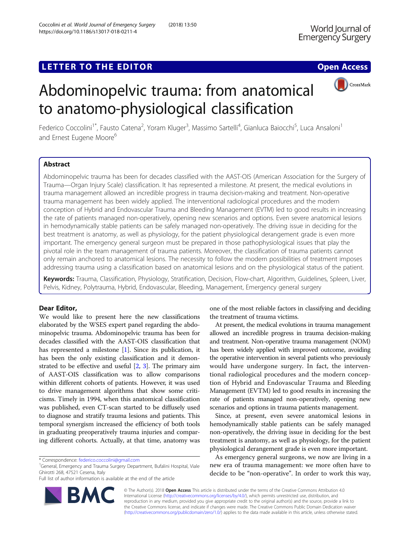## LETTER TO THE EDITOR **CONSIDERING A CONSIDERATION**



# Abdominopelvic trauma: from anatomical to anatomo-physiological classification

Federico Coccolini<sup>1\*</sup>, Fausto Catena<sup>2</sup>, Yoram Kluger<sup>3</sup>, Massimo Sartelli<sup>4</sup>, Gianluca Baiocchi<sup>5</sup>, Luca Ansaloni<sup>1</sup> and Ernest Eugene Moore<sup>6</sup>

## Abstract

Abdominopelvic trauma has been for decades classified with the AAST-OIS (American Association for the Surgery of Trauma—Organ Injury Scale) classification. It has represented a milestone. At present, the medical evolutions in trauma management allowed an incredible progress in trauma decision-making and treatment. Non-operative trauma management has been widely applied. The interventional radiological procedures and the modern conception of Hybrid and Endovascular Trauma and Bleeding Management (EVTM) led to good results in increasing the rate of patients managed non-operatively, opening new scenarios and options. Even severe anatomical lesions in hemodynamically stable patients can be safely managed non-operatively. The driving issue in deciding for the best treatment is anatomy, as well as physiology, for the patient physiological derangement grade is even more important. The emergency general surgeon must be prepared in those pathophysiological issues that play the pivotal role in the team management of trauma patients. Moreover, the classification of trauma patients cannot only remain anchored to anatomical lesions. The necessity to follow the modern possibilities of treatment imposes addressing trauma using a classification based on anatomical lesions and on the physiological status of the patient.

Keywords: Trauma, Classification, Physiology, Stratification, Decision, Flow-chart, Algorithm, Guidelines, Spleen, Liver, Pelvis, Kidney, Polytrauma, Hybrid, Endovascular, Bleeding, Management, Emergency general surgery

## Dear Editor,

We would like to present here the new classifications elaborated by the WSES expert panel regarding the abdominopelvic trauma. Abdominopelvic trauma has been for decades classified with the AAST-OIS classification that has represented a milestone [\[1\]](#page-3-0). Since its publication, it has been the only existing classification and it demonstrated to be effective and useful  $[2, 3]$  $[2, 3]$  $[2, 3]$  $[2, 3]$ . The primary aim of AAST-OIS classification was to allow comparisons within different cohorts of patients. However, it was used to drive management algorithms that show some criticisms. Timely in 1994, when this anatomical classification was published, even CT-scan started to be diffusely used to diagnose and stratify trauma lesions and patients. This temporal synergism increased the efficiency of both tools in graduating preoperatively trauma injuries and comparing different cohorts. Actually, at that time, anatomy was

<sup>1</sup>General, Emergency and Trauma Surgery Department, Bufalini Hospital, Viale Ghirotti 268, 47521 Cesena, Italy

Full list of author information is available at the end of the article



one of the most reliable factors in classifying and deciding the treatment of trauma victims.

At present, the medical evolutions in trauma management allowed an incredible progress in trauma decision-making and treatment. Non-operative trauma management (NOM) has been widely applied with improved outcome, avoiding the operative intervention in several patients who previously would have undergone surgery. In fact, the interventional radiological procedures and the modern conception of Hybrid and Endovascular Trauma and Bleeding Management (EVTM) led to good results in increasing the rate of patients managed non-operatively, opening new scenarios and options in trauma patients management.

Since, at present, even severe anatomical lesions in hemodynamically stable patients can be safely managed non-operatively, the driving issue in deciding for the best treatment is anatomy, as well as physiology, for the patient physiological derangement grade is even more important.

As emergency general surgeons, we now are living in a new era of trauma management: we more often have to decide to be "non-operative". In order to work this way,

© The Author(s). 2018 Open Access This article is distributed under the terms of the Creative Commons Attribution 4.0 International License [\(http://creativecommons.org/licenses/by/4.0/](http://creativecommons.org/licenses/by/4.0/)), which permits unrestricted use, distribution, and reproduction in any medium, provided you give appropriate credit to the original author(s) and the source, provide a link to the Creative Commons license, and indicate if changes were made. The Creative Commons Public Domain Dedication waiver [\(http://creativecommons.org/publicdomain/zero/1.0/](http://creativecommons.org/publicdomain/zero/1.0/)) applies to the data made available in this article, unless otherwise stated.

<sup>\*</sup> Correspondence: [federico.coccolini@gmail.com](mailto:federico.coccolini@gmail.com) <sup>1</sup>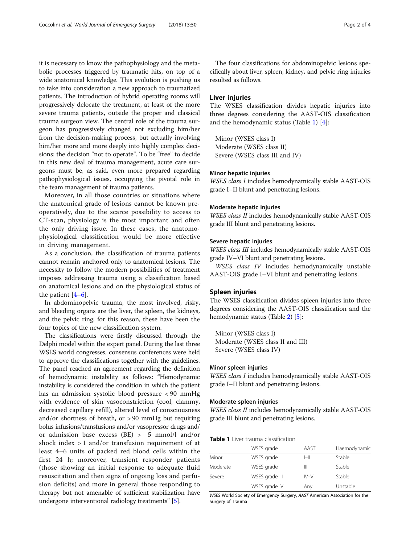it is necessary to know the pathophysiology and the metabolic processes triggered by traumatic hits, on top of a wide anatomical knowledge. This evolution is pushing us to take into consideration a new approach to traumatized patients. The introduction of hybrid operating rooms will progressively delocate the treatment, at least of the more severe trauma patients, outside the proper and classical trauma surgeon view. The central role of the trauma surgeon has progressively changed not excluding him/her from the decision-making process, but actually involving him/her more and more deeply into highly complex decisions: the decision "not to operate". To be "free" to decide in this new deal of trauma management, acute care surgeons must be, as said, even more prepared regarding pathophysiological issues, occupying the pivotal role in the team management of trauma patients.

Moreover, in all those countries or situations where the anatomical grade of lesions cannot be known preoperatively, due to the scarce possibility to access to CT-scan, physiology is the most important and often the only driving issue. In these cases, the anatomophysiological classification would be more effective in driving management.

As a conclusion, the classification of trauma patients cannot remain anchored only to anatomical lesions. The necessity to follow the modern possibilities of treatment imposes addressing trauma using a classification based on anatomical lesions and on the physiological status of the patient  $[4-6]$  $[4-6]$  $[4-6]$  $[4-6]$ .

In abdominopelvic trauma, the most involved, risky, and bleeding organs are the liver, the spleen, the kidneys, and the pelvic ring; for this reason, these have been the four topics of the new classification system.

The classifications were firstly discussed through the Delphi model within the expert panel. During the last three WSES world congresses, consensus conferences were held to approve the classifications together with the guidelines. The panel reached an agreement regarding the definition of hemodynamic instability as follows: "Hemodynamic instability is considered the condition in which the patient has an admission systolic blood pressure < 90 mmHg with evidence of skin vasoconstriction (cool, clammy, decreased capillary refill), altered level of consciousness and/or shortness of breath, or  $> 90$  mmHg but requiring bolus infusions/transfusions and/or vasopressor drugs and/ or admission base excess (BE) > − 5 mmol/l and/or shock index > 1 and/or transfusion requirement of at least 4–6 units of packed red blood cells within the first 24 h; moreover, transient responder patients (those showing an initial response to adequate fluid resuscitation and then signs of ongoing loss and perfusion deficits) and more in general those responding to therapy but not amenable of sufficient stabilization have undergone interventional radiology treatments" [\[5](#page-3-0)].

The four classifications for abdominopelvic lesions specifically about liver, spleen, kidney, and pelvic ring injuries resulted as follows.

## Liver injuries

The WSES classification divides hepatic injuries into three degrees considering the AAST-OIS classification and the hemodynamic status (Table 1) [\[4\]](#page-3-0):

Minor (WSES class I) Moderate (WSES class II) Severe (WSES class III and IV)

## Minor hepatic injuries

WSES class I includes hemodynamically stable AAST-OIS grade I–II blunt and penetrating lesions.

## Moderate hepatic injuries

WSES class II includes hemodynamically stable AAST-OIS grade III blunt and penetrating lesions.

## Severe hepatic injuries

WSES class III includes hemodynamically stable AAST-OIS grade IV–VI blunt and penetrating lesions.

WSES class IV includes hemodynamically unstable AAST-OIS grade I–VI blunt and penetrating lesions.

## Spleen injuries

The WSES classification divides spleen injuries into three degrees considering the AAST-OIS classification and the hemodynamic status (Table [2\)](#page-2-0) [[5\]](#page-3-0):

Minor (WSES class I) Moderate (WSES class II and III) Severe (WSES class IV)

## Minor spleen injuries

WSES class I includes hemodynamically stable AAST-OIS grade I–II blunt and penetrating lesions.

## Moderate spleen injuries

WSES class II includes hemodynamically stable AAST-OIS grade III blunt and penetrating lesions.

| <b>Table 1</b> Liver trauma classification |
|--------------------------------------------|
|                                            |

|          | WSES grade     | AAST     | Haemodynamic |
|----------|----------------|----------|--------------|
| Minor    | WSES grade I   | $I - II$ | Stable       |
| Moderate | WSES grade II  | Ш        | Stable       |
| Severe   | WSES grade III | $IV-V$   | Stable       |
|          | WSES grade IV  | Any      | Unstable     |

WSES World Society of Emergency Surgery, AAST American Association for the Surgery of Trauma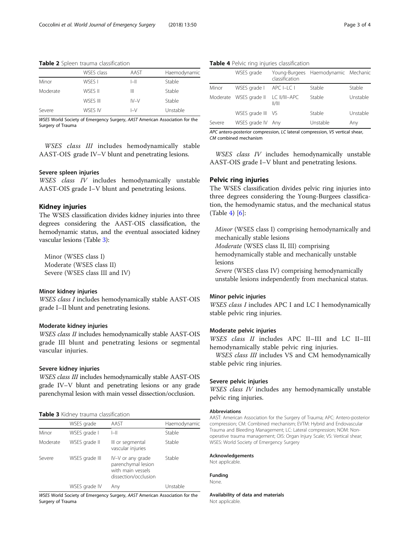<span id="page-2-0"></span>Table 2 Spleen trauma classification

|          | WSES class | AAST   | Haemodynamic |
|----------|------------|--------|--------------|
| Minor    | WSES I     | $ -  $ | Stable       |
| Moderate | WSES II    | Ш      | Stable       |
|          | WSES III   | $IV-V$ | Stable       |
| Severe   | WSES IV    | $I-V$  | Unstable     |

WSES World Society of Emergency Surgery, AAST American Association for the Surgery of Trauma

WSES class III includes hemodynamically stable AAST-OIS grade IV–V blunt and penetrating lesions.

## Severe spleen injuries

WSES class IV includes hemodynamically unstable AAST-OIS grade I–V blunt and penetrating lesions.

## Kidney injuries

The WSES classification divides kidney injuries into three degrees considering the AAST-OIS classification, the hemodynamic status, and the eventual associated kidney vascular lesions (Table 3):

Minor (WSES class I) Moderate (WSES class II) Severe (WSES class III and IV)

## Minor kidney injuries

WSES class I includes hemodynamically stable AAST-OIS grade I–II blunt and penetrating lesions.

## Moderate kidney injuries

WSES class II includes hemodynamically stable AAST-OIS grade III blunt and penetrating lesions or segmental vascular injuries.

## Severe kidney injuries

WSES class III includes hemodynamically stable AAST-OIS grade IV–V blunt and penetrating lesions or any grade parenchymal lesion with main vessel dissection/occlusion.

#### **Table 3** Kidney trauma classification

|          | WSES grade     | AAST                                                                                 | Haemodynamic |
|----------|----------------|--------------------------------------------------------------------------------------|--------------|
| Minor    | WSES grade I   | $I - II$                                                                             | Stable       |
| Moderate | WSES grade II  | III or segmental<br>vascular injuries                                                | Stable       |
| Severe   | WSES grade III | IV-V or any grade<br>parenchymal lesion<br>with main vessels<br>dissection/occlusion | Stable       |
|          | WSES grade IV  | Any                                                                                  | Unstable     |

WSES World Society of Emergency Surgery, AAST American Association for the Surgery of Trauma

## Table 4 Pelvic ring injuries classification

|        | WSES grade             | classification       | Young-Burgees Haemodynamic Mechanic |          |
|--------|------------------------|----------------------|-------------------------------------|----------|
| Minor  | WSES grade I           | APC I-LC I           | Stable                              | Stable   |
|        | Moderate WSES grade II | LC II/III-APC<br>  / | Stable                              | Unstable |
|        | WSES grade III         | - VS                 | Stable                              | Unstable |
| Severe | WSES grade IV Any      |                      | Unstable                            | Any      |

APC antero-posterior compression, LC lateral compression, VS vertical shear, CM combined mechanism

WSES class IV includes hemodynamically unstable AAST-OIS grade I–V blunt and penetrating lesions.

## Pelvic ring injuries

The WSES classification divides pelvic ring injuries into three degrees considering the Young-Burgees classification, the hemodynamic status, and the mechanical status (Table 4) [\[6](#page-3-0)]:

Minor (WSES class I) comprising hemodynamically and mechanically stable lesions

Moderate (WSES class II, III) comprising

hemodynamically stable and mechanically unstable lesions

Severe (WSES class IV) comprising hemodynamically unstable lesions independently from mechanical status.

## Minor pelvic injuries

WSES class I includes APC I and LC I hemodynamically stable pelvic ring injuries.

## Moderate pelvic injuries

WSES class II includes APC II–III and LC II–III hemodynamically stable pelvic ring injuries.

WSES class III includes VS and CM hemodynamically stable pelvic ring injuries.

## Severe pelvic injuries

WSES class IV includes any hemodynamically unstable pelvic ring injuries.

## Abbreviations

AAST: American Association for the Surgery of Trauma; APC: Antero-posterior compression; CM: Combined mechanism; EVTM: Hybrid and Endovascular Trauma and Bleeding Management; LC: Lateral compression; NOM: Nonoperative trauma management; OIS: Organ Injury Scale; VS: Vertical shear; WSES: World Society of Emergency Surgery

#### Acknowledgements

Not applicable.

Funding None.

Availability of data and materials

Not applicable.